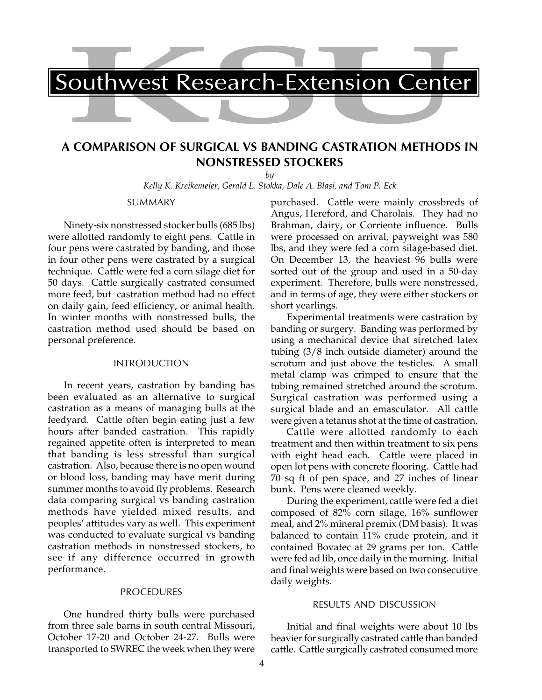

## **A COMPARISON OF SURGICAL VS BANDING CASTRATION METHODS IN NONSTRESSED STOCKERS**

*by*

*Kelly K. Kreikemeier, Gerald L. Stokka, Dale A. Blasi, and Tom P. Eck*

SUMMARY

Ninety-six nonstressed stocker bulls (685 lbs) were allotted randomly to eight pens. Cattle in four pens were castrated by banding, and those in four other pens were castrated by a surgical technique. Cattle were fed a corn silage diet for 50 days. Cattle surgically castrated consumed more feed, but castration method had no effect on daily gain, feed efficiency, or animal health. In winter months with nonstressed bulls, the castration method used should be based on personal preference.

## INTRODUCTION

In recent years, castration by banding has been evaluated as an alternative to surgical castration as a means of managing bulls at the feedyard. Cattle often begin eating just a few hours after banded castration. This rapidly regained appetite often is interpreted to mean that banding is less stressful than surgical castration. Also, because there is no open wound or blood loss, banding may have merit during summer months to avoid fly problems. Research data comparing surgical vs banding castration methods have yielded mixed results, and peoples' attitudes vary as well. This experiment was conducted to evaluate surgical vs banding castration methods in nonstressed stockers, to see if any difference occurred in growth performance.

## PROCEDURES

One hundred thirty bulls were purchased from three sale barns in south central Missouri, October 17-20 and October 24-27. Bulls were transported to SWREC the week when they were

purchased. Cattle were mainly crossbreds of Angus, Hereford, and Charolais. They had no Brahman, dairy, or Corriente influence. Bulls were processed on arrival, payweight was 580 lbs, and they were fed a corn silage-based diet. On December 13, the heaviest 96 bulls were sorted out of the group and used in a 50-day experiment. Therefore, bulls were nonstressed, and in terms of age, they were either stockers or short yearlings.

Experimental treatments were castration by banding or surgery. Banding was performed by using a mechanical device that stretched latex tubing (3/8 inch outside diameter) around the scrotum and just above the testicles. A small metal clamp was crimped to ensure that the tubing remained stretched around the scrotum. Surgical castration was performed using a surgical blade and an emasculator. All cattle were given a tetanus shot at the time of castration.

Cattle were allotted randomly to each treatment and then within treatment to six pens with eight head each. Cattle were placed in open lot pens with concrete flooring. Cattle had 70 sq ft of pen space, and 27 inches of linear bunk. Pens were cleaned weekly.

During the experiment, cattle were fed a diet composed of 82% corn silage, 16% sunflower meal, and 2% mineral premix (DM basis). It was balanced to contain 11% crude protein, and it contained Bovatec at 29 grams per ton. Cattle were fed ad lib, once daily in the morning. Initial and final weights were based on two consecutive daily weights.

## RESULTS AND DISCUSSION

Initial and final weights were about 10 lbs heavier for surgically castrated cattle than banded cattle. Cattle surgically castrated consumed more